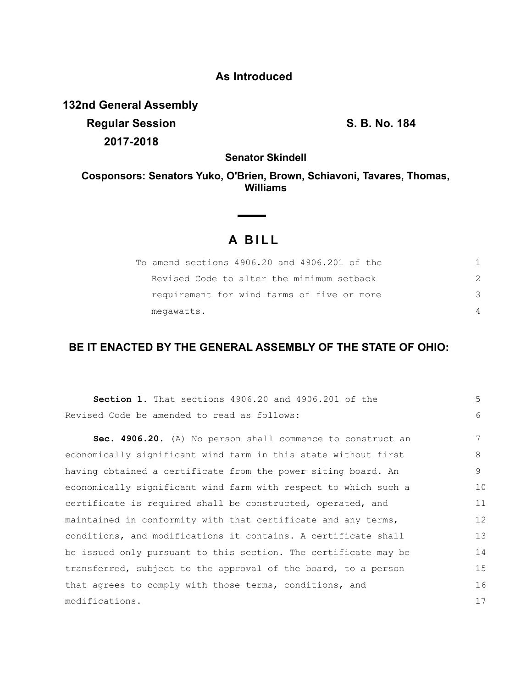# **As Introduced**

**132nd General Assembly Regular Session S. B. No. 184**

**2017-2018**

**Senator Skindell**

## **Cosponsors: Senators Yuko, O'Brien, Brown, Schiavoni, Tavares, Thomas, Williams**

# **A B I L L**

**Contract Contract** 

| To amend sections 4906.20 and 4906.201 of the |  |
|-----------------------------------------------|--|
| Revised Code to alter the minimum setback     |  |
| requirement for wind farms of five or more    |  |
| megawatts.                                    |  |

### **BE IT ENACTED BY THE GENERAL ASSEMBLY OF THE STATE OF OHIO:**

| <b>Section 1.</b> That sections 4906.20 and 4906.201 of the     | 5  |
|-----------------------------------------------------------------|----|
| Revised Code be amended to read as follows:                     | 6  |
| Sec. 4906.20. (A) No person shall commence to construct an      | 7  |
| economically significant wind farm in this state without first  | 8  |
| having obtained a certificate from the power siting board. An   | 9  |
| economically significant wind farm with respect to which such a | 10 |
| certificate is required shall be constructed, operated, and     | 11 |
| maintained in conformity with that certificate and any terms,   | 12 |
| conditions, and modifications it contains. A certificate shall  | 13 |
| be issued only pursuant to this section. The certificate may be | 14 |
| transferred, subject to the approval of the board, to a person  | 15 |
| that agrees to comply with those terms, conditions, and         | 16 |
| modifications.                                                  | 17 |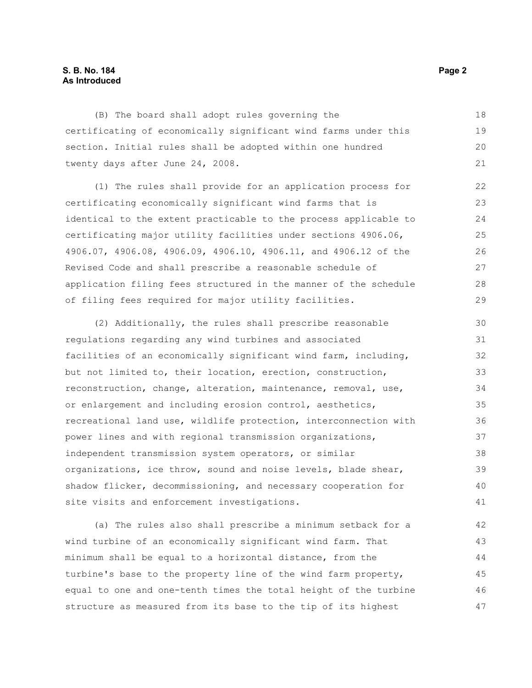### **S. B. No. 184 Page 2 As Introduced**

(B) The board shall adopt rules governing the certificating of economically significant wind farms under this section. Initial rules shall be adopted within one hundred twenty days after June 24, 2008. 18 19 20 21

(1) The rules shall provide for an application process for certificating economically significant wind farms that is identical to the extent practicable to the process applicable to certificating major utility facilities under sections 4906.06, 4906.07, 4906.08, 4906.09, 4906.10, 4906.11, and 4906.12 of the Revised Code and shall prescribe a reasonable schedule of application filing fees structured in the manner of the schedule of filing fees required for major utility facilities. 22 23 24 25 26 27 28 29

(2) Additionally, the rules shall prescribe reasonable regulations regarding any wind turbines and associated facilities of an economically significant wind farm, including, but not limited to, their location, erection, construction, reconstruction, change, alteration, maintenance, removal, use, or enlargement and including erosion control, aesthetics, recreational land use, wildlife protection, interconnection with power lines and with regional transmission organizations, independent transmission system operators, or similar organizations, ice throw, sound and noise levels, blade shear, shadow flicker, decommissioning, and necessary cooperation for site visits and enforcement investigations. 30 31 32 33 34 35 36 37 38 39 40 41

(a) The rules also shall prescribe a minimum setback for a wind turbine of an economically significant wind farm. That minimum shall be equal to a horizontal distance, from the turbine's base to the property line of the wind farm property, equal to one and one-tenth times the total height of the turbine structure as measured from its base to the tip of its highest 42 43 44 45 46 47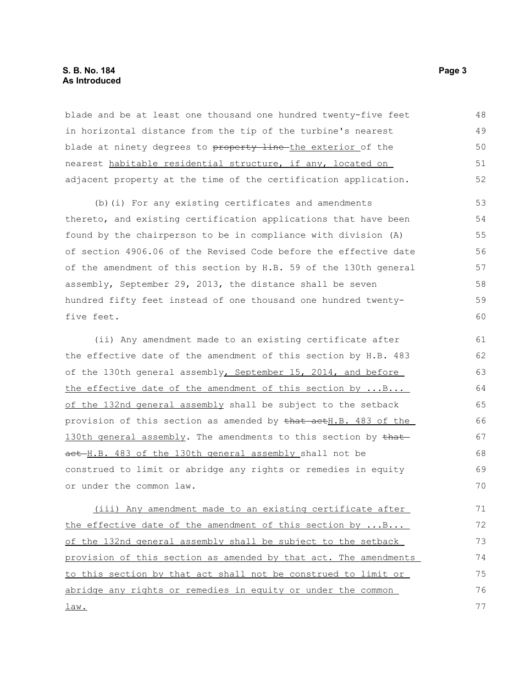blade and be at least one thousand one hundred twenty-five feet in horizontal distance from the tip of the turbine's nearest blade at ninety degrees to property line the exterior of the nearest habitable residential structure, if any, located on adjacent property at the time of the certification application. 48 49 50 51 52

(b)(i) For any existing certificates and amendments thereto, and existing certification applications that have been found by the chairperson to be in compliance with division (A) of section 4906.06 of the Revised Code before the effective date of the amendment of this section by H.B. 59 of the 130th general assembly, September 29, 2013, the distance shall be seven hundred fifty feet instead of one thousand one hundred twentyfive feet.

(ii) Any amendment made to an existing certificate after the effective date of the amendment of this section by H.B. 483 of the 130th general assembly, September 15, 2014, and before the effective date of the amendment of this section by ...B... of the 132nd general assembly shall be subject to the setback provision of this section as amended by that actH.B. 483 of the 130th general assembly. The amendments to this section by thatact H.B. 483 of the 130th general assembly shall not be construed to limit or abridge any rights or remedies in equity or under the common law. 61 62 63 64 65 66 67 68 69 70

(iii) Any amendment made to an existing certificate after the effective date of the amendment of this section by ...B... of the 132nd general assembly shall be subject to the setback provision of this section as amended by that act. The amendments to this section by that act shall not be construed to limit or abridge any rights or remedies in equity or under the common law. 71 72 73 74 75 76 77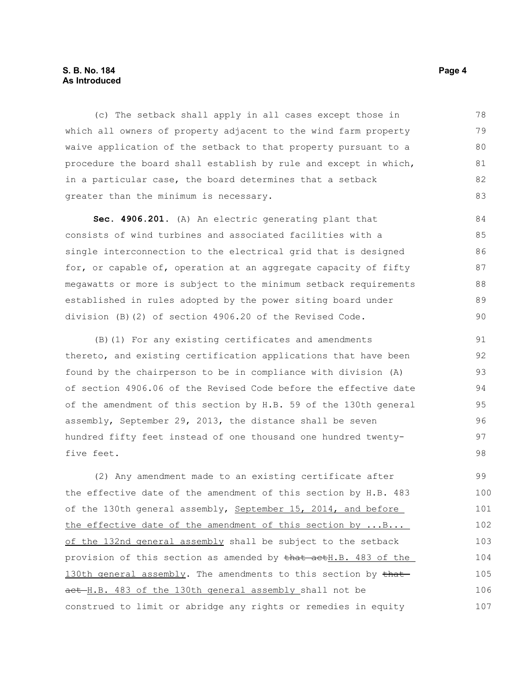### **S. B. No. 184 Page 4 As Introduced**

(c) The setback shall apply in all cases except those in which all owners of property adjacent to the wind farm property waive application of the setback to that property pursuant to a procedure the board shall establish by rule and except in which, in a particular case, the board determines that a setback greater than the minimum is necessary. 78 79 80 81 82 83

**Sec. 4906.201.** (A) An electric generating plant that consists of wind turbines and associated facilities with a single interconnection to the electrical grid that is designed for, or capable of, operation at an aggregate capacity of fifty megawatts or more is subject to the minimum setback requirements established in rules adopted by the power siting board under division (B)(2) of section 4906.20 of the Revised Code. 84 85  $86$ 87 88 89 90

(B)(1) For any existing certificates and amendments thereto, and existing certification applications that have been found by the chairperson to be in compliance with division (A) of section 4906.06 of the Revised Code before the effective date of the amendment of this section by H.B. 59 of the 130th general assembly, September 29, 2013, the distance shall be seven hundred fifty feet instead of one thousand one hundred twentyfive feet. 91 92 93 94 95 96 97 98

(2) Any amendment made to an existing certificate after the effective date of the amendment of this section by H.B. 483 of the 130th general assembly, September 15, 2014, and before the effective date of the amendment of this section by ...B... of the 132nd general assembly shall be subject to the setback provision of this section as amended by that actH.B. 483 of the 130th general assembly. The amendments to this section by thatact H.B. 483 of the 130th general assembly shall not be construed to limit or abridge any rights or remedies in equity 99 100 101 102 103 104 105 106 107